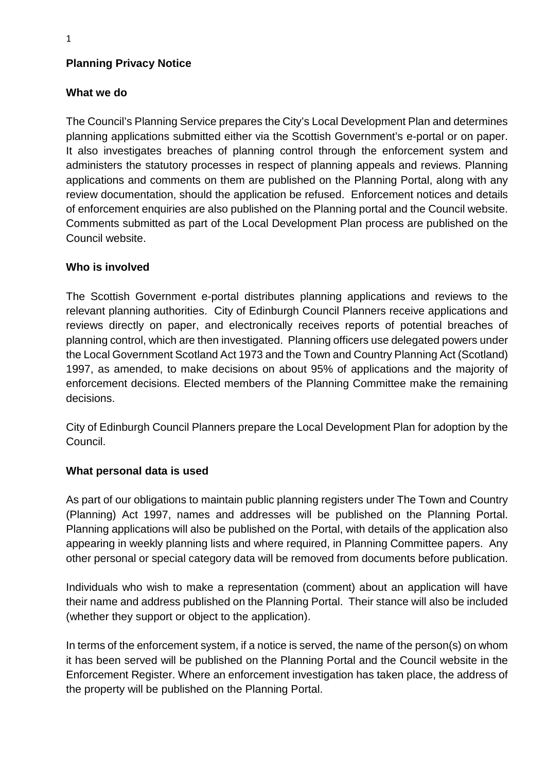## **Planning Privacy Notice**

## **What we do**

The Council's Planning Service prepares the City's Local Development Plan and determines planning applications submitted either via the Scottish Government's e-portal or on paper. It also investigates breaches of planning control through the enforcement system and administers the statutory processes in respect of planning appeals and reviews. Planning applications and comments on them are published on the Planning Portal, along with any review documentation, should the application be refused. Enforcement notices and details of enforcement enquiries are also published on the Planning portal and the Council website. Comments submitted as part of the Local Development Plan process are published on the Council website.

## **Who is involved**

The Scottish Government e-portal distributes planning applications and reviews to the relevant planning authorities. City of Edinburgh Council Planners receive applications and reviews directly on paper, and electronically receives reports of potential breaches of planning control, which are then investigated. Planning officers use delegated powers under the Local Government Scotland Act 1973 and the Town and Country Planning Act (Scotland) 1997, as amended, to make decisions on about 95% of applications and the majority of enforcement decisions. Elected members of the Planning Committee make the remaining decisions.

City of Edinburgh Council Planners prepare the Local Development Plan for adoption by the Council.

#### **What personal data is used**

As part of our obligations to maintain public planning registers under The Town and Country (Planning) Act 1997, names and addresses will be published on the Planning Portal. Planning applications will also be published on the Portal, with details of the application also appearing in weekly planning lists and where required, in Planning Committee papers. Any other personal or special category data will be removed from documents before publication.

Individuals who wish to make a representation (comment) about an application will have their name and address published on the Planning Portal. Their stance will also be included (whether they support or object to the application).

In terms of the enforcement system, if a notice is served, the name of the person(s) on whom it has been served will be published on the Planning Portal and the Council website in the Enforcement Register. Where an enforcement investigation has taken place, the address of the property will be published on the Planning Portal.